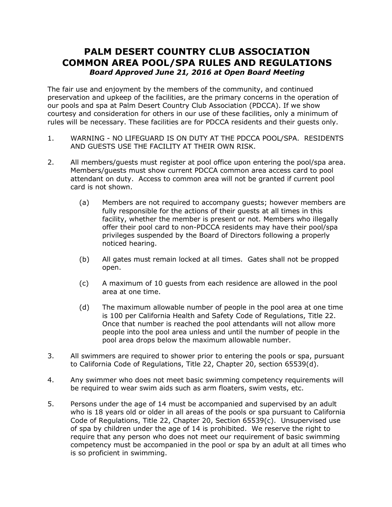## **PALM DESERT COUNTRY CLUB ASSOCIATION COMMON AREA POOL/SPA RULES AND REGULATIONS** *Board Approved June 21, 2016 at Open Board Meeting*

The fair use and enjoyment by the members of the community, and continued preservation and upkeep of the facilities, are the primary concerns in the operation of our pools and spa at Palm Desert Country Club Association (PDCCA). If we show courtesy and consideration for others in our use of these facilities, only a minimum of rules will be necessary. These facilities are for PDCCA residents and their guests only.

- 1. WARNING NO LIFEGUARD IS ON DUTY AT THE PDCCA POOL/SPA. RESIDENTS AND GUESTS USE THE FACILITY AT THEIR OWN RISK.
- 2. All members/guests must register at pool office upon entering the pool/spa area. Members/guests must show current PDCCA common area access card to pool attendant on duty. Access to common area will not be granted if current pool card is not shown.
	- (a) Members are not required to accompany guests; however members are fully responsible for the actions of their guests at all times in this facility, whether the member is present or not. Members who illegally offer their pool card to non-PDCCA residents may have their pool/spa privileges suspended by the Board of Directors following a properly noticed hearing.
	- (b) All gates must remain locked at all times. Gates shall not be propped open.
	- (c) A maximum of 10 guests from each residence are allowed in the pool area at one time.
	- (d) The maximum allowable number of people in the pool area at one time is 100 per California Health and Safety Code of Regulations, Title 22. Once that number is reached the pool attendants will not allow more people into the pool area unless and until the number of people in the pool area drops below the maximum allowable number.
- 3. All swimmers are required to shower prior to entering the pools or spa, pursuant to California Code of Regulations, Title 22, Chapter 20, section 65539(d).
- 4. Any swimmer who does not meet basic swimming competency requirements will be required to wear swim aids such as arm floaters, swim vests, etc.
- 5. Persons under the age of 14 must be accompanied and supervised by an adult who is 18 years old or older in all areas of the pools or spa pursuant to California Code of Regulations, Title 22, Chapter 20, Section 65539(c). Unsupervised use of spa by children under the age of 14 is prohibited. We reserve the right to require that any person who does not meet our requirement of basic swimming competency must be accompanied in the pool or spa by an adult at all times who is so proficient in swimming.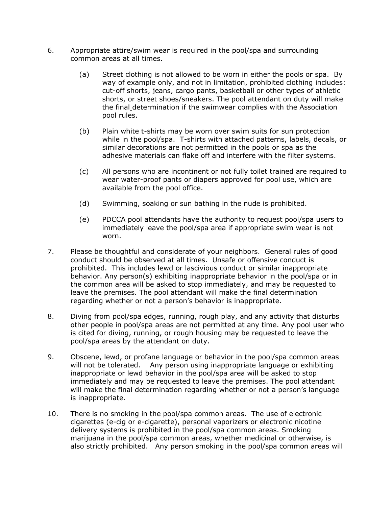- 6. Appropriate attire/swim wear is required in the pool/spa and surrounding common areas at all times.
	- (a) Street clothing is not allowed to be worn in either the pools or spa. By way of example only, and not in limitation, prohibited clothing includes: cut-off shorts, jeans, cargo pants, basketball or other types of athletic shorts, or street shoes/sneakers. The pool attendant on duty will make the final determination if the swimwear complies with the Association pool rules.
	- (b) Plain white t-shirts may be worn over swim suits for sun protection while in the pool/spa. T-shirts with attached patterns, labels, decals, or similar decorations are not permitted in the pools or spa as the adhesive materials can flake off and interfere with the filter systems.
	- (c) All persons who are incontinent or not fully toilet trained are required to wear water-proof pants or diapers approved for pool use, which are available from the pool office.
	- (d) Swimming, soaking or sun bathing in the nude is prohibited.
	- (e) PDCCA pool attendants have the authority to request pool/spa users to immediately leave the pool/spa area if appropriate swim wear is not worn.
- 7. Please be thoughtful and considerate of your neighbors. General rules of good conduct should be observed at all times. Unsafe or offensive conduct is prohibited. This includes lewd or lascivious conduct or similar inappropriate behavior. Any person(s) exhibiting inappropriate behavior in the pool/spa or in the common area will be asked to stop immediately, and may be requested to leave the premises. The pool attendant will make the final determination regarding whether or not a person's behavior is inappropriate.
- 8. Diving from pool/spa edges, running, rough play, and any activity that disturbs other people in pool/spa areas are not permitted at any time. Any pool user who is cited for diving, running, or rough housing may be requested to leave the pool/spa areas by the attendant on duty.
- 9. Obscene, lewd, or profane language or behavior in the pool/spa common areas will not be tolerated. Any person using inappropriate language or exhibiting inappropriate or lewd behavior in the pool/spa area will be asked to stop immediately and may be requested to leave the premises. The pool attendant will make the final determination regarding whether or not a person's language is inappropriate.
- 10. There is no smoking in the pool/spa common areas. The use of electronic cigarettes (e-cig or e-cigarette), personal vaporizers or electronic nicotine delivery systems is prohibited in the pool/spa common areas. Smoking marijuana in the pool/spa common areas, whether medicinal or otherwise, is also strictly prohibited. Any person smoking in the pool/spa common areas will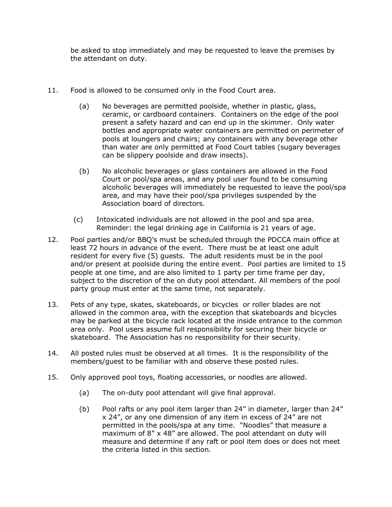be asked to stop immediately and may be requested to leave the premises by the attendant on duty.

- 11. Food is allowed to be consumed only in the Food Court area.
	- (a) No beverages are permitted poolside, whether in plastic, glass, ceramic, or cardboard containers. Containers on the edge of the pool present a safety hazard and can end up in the skimmer. Only water bottles and appropriate water containers are permitted on perimeter of pools at loungers and chairs; any containers with any beverage other than water are only permitted at Food Court tables (sugary beverages can be slippery poolside and draw insects).
	- (b) No alcoholic beverages or glass containers are allowed in the Food Court or pool/spa areas, and any pool user found to be consuming alcoholic beverages will immediately be requested to leave the pool/spa area, and may have their pool/spa privileges suspended by the Association board of directors.
	- (c) Intoxicated individuals are not allowed in the pool and spa area. Reminder: the legal drinking age in California is 21 years of age.
- 12. Pool parties and/or BBQ's must be scheduled through the PDCCA main office at least 72 hours in advance of the event. There must be at least one adult resident for every five (5) guests. The adult residents must be in the pool and/or present at poolside during the entire event. Pool parties are limited to 15 people at one time, and are also limited to 1 party per time frame per day, subject to the discretion of the on duty pool attendant. All members of the pool party group must enter at the same time, not separately.
- 13. Pets of any type, skates, skateboards, or bicycles or roller blades are not allowed in the common area, with the exception that skateboards and bicycles may be parked at the bicycle rack located at the inside entrance to the common area only. Pool users assume full responsibility for securing their bicycle or skateboard. The Association has no responsibility for their security.
- 14. All posted rules must be observed at all times. It is the responsibility of the members/guest to be familiar with and observe these posted rules.
- 15. Only approved pool toys, floating accessories, or noodles are allowed.
	- (a) The on-duty pool attendant will give final approval.
	- (b) Pool rafts or any pool item larger than 24" in diameter, larger than 24" x 24", or any one dimension of any item in excess of 24" are not permitted in the pools/spa at any time. "Noodles" that measure a maximum of 8" x 48" are allowed. The pool attendant on duty will measure and determine if any raft or pool item does or does not meet the criteria listed in this section*.*